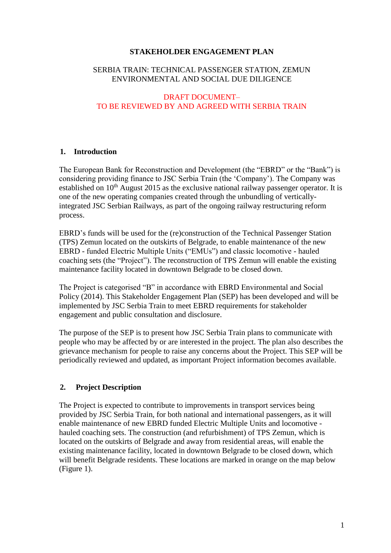#### **STAKEHOLDER ENGAGEMENT PLAN**

## SERBIA TRAIN: TECHNICAL PASSENGER STATION, ZEMUN ENVIRONMENTAL AND SOCIAL DUE DILIGENCE

#### DRAFT DOCUMENT– TO BE REVIEWED BY AND AGREED WITH SERBIA TRAIN

## **1. Introduction**

The European Bank for Reconstruction and Development (the "EBRD" or the "Bank") is considering providing finance to JSC Serbia Train (the 'Company'). The Company was established on  $10<sup>th</sup>$  August 2015 as the exclusive national railway passenger operator. It is one of the new operating companies created through the unbundling of verticallyintegrated JSC Serbian Railways, as part of the ongoing railway restructuring reform process.

EBRD's funds will be used for the (re)construction of the Technical Passenger Station (TPS) Zemun located on the outskirts of Belgrade, to enable maintenance of the new EBRD - funded Electric Multiple Units ("EMUs") and classic locomotive - hauled coaching sets (the "Project"). The reconstruction of TPS Zemun will enable the existing maintenance facility located in downtown Belgrade to be closed down.

The Project is categorised "B" in accordance with EBRD Environmental and Social Policy (2014). This Stakeholder Engagement Plan (SEP) has been developed and will be implemented by JSC Serbia Train to meet EBRD requirements for stakeholder engagement and public consultation and disclosure.

The purpose of the SEP is to present how JSC Serbia Train plans to communicate with people who may be affected by or are interested in the project. The plan also describes the grievance mechanism for people to raise any concerns about the Project. This SEP will be periodically reviewed and updated, as important Project information becomes available.

# **2. Project Description**

The Project is expected to contribute to improvements in transport services being provided by JSC Serbia Train, for both national and international passengers, as it will enable maintenance of new EBRD funded Electric Multiple Units and locomotive hauled coaching sets. The construction (and refurbishment) of TPS Zemun, which is located on the outskirts of Belgrade and away from residential areas, will enable the existing maintenance facility, located in downtown Belgrade to be closed down, which will benefit Belgrade residents. These locations are marked in orange on the map below (Figure 1).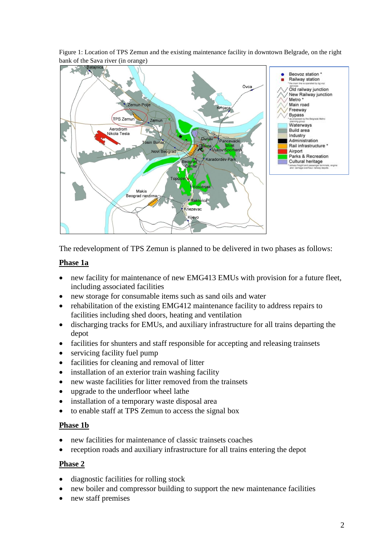Figure 1: Location of TPS Zemun and the existing maintenance facility in downtown Belgrade, on the right bank of the Sava river (in orange)



The redevelopment of TPS Zemun is planned to be delivered in two phases as follows:

## **Phase 1a**

- new facility for maintenance of new EMG413 EMUs with provision for a future fleet, including associated facilities
- new storage for consumable items such as sand oils and water
- rehabilitation of the existing EMG412 maintenance facility to address repairs to facilities including shed doors, heating and ventilation
- discharging tracks for EMUs, and auxiliary infrastructure for all trains departing the depot
- facilities for shunters and staff responsible for accepting and releasing trainsets
- servicing facility fuel pump
- facilities for cleaning and removal of litter
- installation of an exterior train washing facility
- new waste facilities for litter removed from the trainsets
- upgrade to the underfloor wheel lathe
- installation of a temporary waste disposal area
- to enable staff at TPS Zemun to access the signal box

## **Phase 1b**

- new facilities for maintenance of classic trainsets coaches
- reception roads and auxiliary infrastructure for all trains entering the depot

## **Phase 2**

- diagnostic facilities for rolling stock
- new boiler and compressor building to support the new maintenance facilities
- new staff premises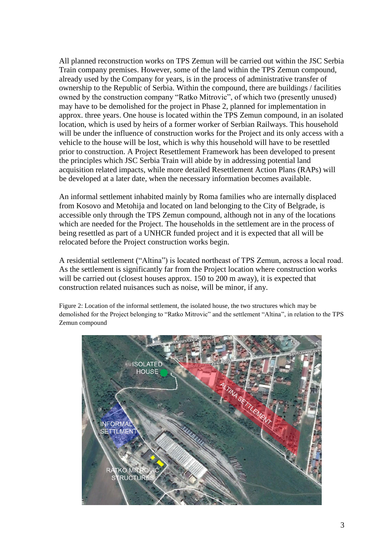All planned reconstruction works on TPS Zemun will be carried out within the JSC Serbia Train company premises. However, some of the land within the TPS Zemun compound, already used by the Company for years, is in the process of administrative transfer of ownership to the Republic of Serbia. Within the compound, there are buildings / facilities owned by the construction company "Ratko Mitrovic", of which two (presently unused) may have to be demolished for the project in Phase 2, planned for implementation in approx. three years. One house is located within the TPS Zemun compound, in an isolated location, which is used by heirs of a former worker of Serbian Railways. This household will be under the influence of construction works for the Project and its only access with a vehicle to the house will be lost, which is why this household will have to be resettled prior to construction. A Project Resettlement Framework has been developed to present the principles which JSC Serbia Train will abide by in addressing potential land acquisition related impacts, while more detailed Resettlement Action Plans (RAPs) will be developed at a later date, when the necessary information becomes available.

An informal settlement inhabited mainly by Roma families who are internally displaced from Kosovo and Metohija and located on land belonging to the City of Belgrade, is accessible only through the TPS Zemun compound, although not in any of the locations which are needed for the Project. The households in the settlement are in the process of being resettled as part of a UNHCR funded project and it is expected that all will be relocated before the Project construction works begin.

A residential settlement ("Altina") is located northeast of TPS Zemun, across a local road. As the settlement is significantly far from the Project location where construction works will be carried out (closest houses approx. 150 to 200 m away), it is expected that construction related nuisances such as noise, will be minor, if any.

Figure 2: Location of the informal settlement, the isolated house, the two structures which may be demolished for the Project belonging to "Ratko Mitrovic" and the settlement "Altina", in relation to the TPS Zemun compound

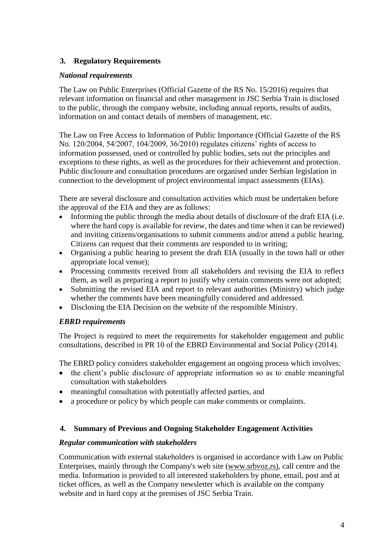# **3. Regulatory Requirements**

## *National requirements*

The Law on Public Enterprises (Official Gazette of the RS No. 15/2016) requires that relevant information on financial and other management in JSC Serbia Train is disclosed to the public, through the company website, including annual reports, results of audits, information on and contact details of members of management, etc.

The Law on Free Access to Information of Public Importance (Official Gazette of the RS No. 120/2004, 54/2007, 104/2009, 36/2010) regulates citizens' rights of access to information possessed, used or controlled by public bodies, sets out the principles and exceptions to these rights, as well as the procedures for their achievement and protection. Public disclosure and consultation procedures are organised under Serbian legislation in connection to the development of project environmental impact assessments (EIAs).

There are several disclosure and consultation activities which must be undertaken before the approval of the EIA and they are as follows:

- Informing the public through the media about details of disclosure of the draft EIA (i.e. where the hard copy is available for review, the dates and time when it can be reviewed) and inviting citizens/organisations to submit comments and/or attend a public hearing. Citizens can request that their comments are responded to in writing;
- Organising a public hearing to present the draft EIA (usually in the town hall or other appropriate local venue);
- Processing comments received from all stakeholders and revising the EIA to reflect them, as well as preparing a report to justify why certain comments were not adopted;
- Submitting the revised EIA and report to relevant authorities (Ministry) which judge whether the comments have been meaningfully considered and addressed.
- Disclosing the EIA Decision on the website of the responsible Ministry.

## *EBRD requirements*

The Project is required to meet the requirements for stakeholder engagement and public consultations, described in PR 10 of the EBRD Environmental and Social Policy (2014).

The EBRD policy considers stakeholder engagement an ongoing process which involves:

- the client's public disclosure of appropriate information so as to enable meaningful consultation with stakeholders
- meaningful consultation with potentially affected parties, and
- a procedure or policy by which people can make comments or complaints.

#### **4. Summary of Previous and Ongoing Stakeholder Engagement Activities**

#### *Regular communication with stakeholders*

Communication with external stakeholders is organised in accordance with Law on Public Enterprises, mainly through the Company's web site [\(www.srbvoz.rs\),](http://www.srbvoz.rs)/) call centre and the media. Information is provided to all interested stakeholders by phone, email, post and at ticket offices, as well as the Company newsletter which is available on the company website and in hard copy at the premises of JSC Serbia Train.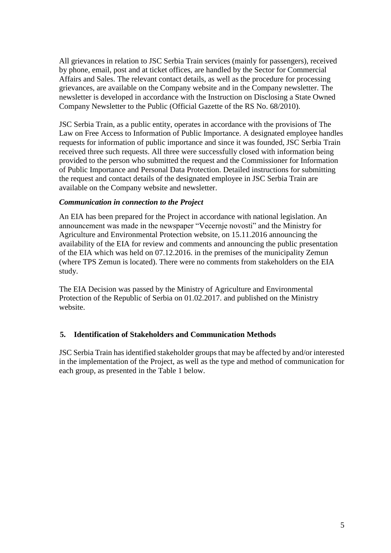All grievances in relation to JSC Serbia Train services (mainly for passengers), received by phone, email, post and at ticket offices, are handled by the Sector for Commercial Affairs and Sales. The relevant contact details, as well as the procedure for processing grievances, are available on the Company website and in the Company newsletter. The newsletter is developed in accordance with the Instruction on Disclosing a State Owned Company Newsletter to the Public (Official Gazette of the RS No. 68/2010).

JSC Serbia Train, as a public entity, operates in accordance with the provisions of The Law on Free Access to Information of Public Importance. A designated employee handles requests for information of public importance and since it was founded, JSC Serbia Train received three such requests. All three were successfully closed with information being provided to the person who submitted the request and the Commissioner for Information of Public Importance and Personal Data Protection. Detailed instructions for submitting the request and contact details of the designated employee in JSC Serbia Train are available on the Company website and newsletter.

#### *Communication in connection to the Project*

An EIA has been prepared for the Project in accordance with national legislation. An announcement was made in the newspaper "Vecernje novosti" and the Ministry for Agriculture and Environmental Protection website, on 15.11.2016 announcing the availability of the EIA for review and comments and announcing the public presentation of the EIA which was held on 07.12.2016. in the premises of the municipality Zemun (where TPS Zemun is located). There were no comments from stakeholders on the EIA study.

The EIA Decision was passed by the Ministry of Agriculture and Environmental Protection of the Republic of Serbia on 01.02.2017. and published on the Ministry website.

## **5. Identification of Stakeholders and Communication Methods**

JSC Serbia Train has identified stakeholder groups that may be affected by and/or interested in the implementation of the Project, as well as the type and method of communication for each group, as presented in the Table 1 below.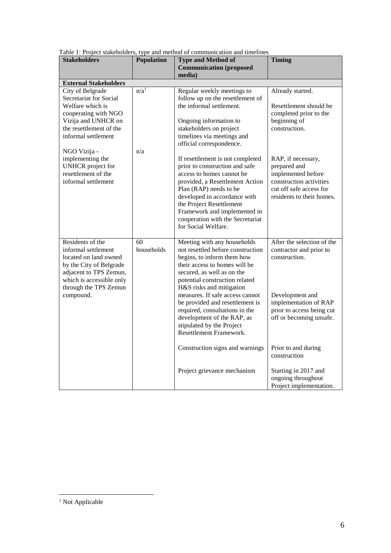| Table 1: Project stakeholders, type and method of communication and timelines                                                                                                                       |                         |                                                                                                                                                                                                                                                                                                                                                                                                                           |                                                                                                                                                                            |
|-----------------------------------------------------------------------------------------------------------------------------------------------------------------------------------------------------|-------------------------|---------------------------------------------------------------------------------------------------------------------------------------------------------------------------------------------------------------------------------------------------------------------------------------------------------------------------------------------------------------------------------------------------------------------------|----------------------------------------------------------------------------------------------------------------------------------------------------------------------------|
| <b>Stakeholders</b>                                                                                                                                                                                 | Population              | <b>Type and Method of</b><br><b>Communication (proposed</b><br>media)                                                                                                                                                                                                                                                                                                                                                     | <b>Timing</b>                                                                                                                                                              |
| <b>External Stakeholders</b>                                                                                                                                                                        |                         |                                                                                                                                                                                                                                                                                                                                                                                                                           |                                                                                                                                                                            |
| City of Belgrade<br>Secretariat for Social<br>Welfare which is<br>cooperating with NGO<br>Vizija and UNHCR on<br>the resettlement of the<br>informal settlement<br>NGO Vizija -<br>implementing the | n/a <sup>1</sup><br>n/a | Regular weekly meetings to<br>follow up on the resettlement of<br>the informal settlement.<br>Ongoing information to<br>stakeholders on project<br>timelines via meetings and<br>official correspondence.<br>If resettlement is not completed                                                                                                                                                                             | Already started.<br>Resettlement should be<br>completed prior to the<br>beginning of<br>construction.<br>RAP, if necessary,                                                |
| <b>UNHCR</b> project for<br>resettlement of the<br>informal settlement                                                                                                                              |                         | prior to construction and safe<br>access to homes cannot be<br>provided, a Resettlement Action<br>Plan (RAP) needs to be<br>developed in accordance with<br>the Project Resettlement<br>Framework and implemented in<br>cooperation with the Secretariat<br>for Social Welfare.                                                                                                                                           | prepared and<br>implemented before<br>construction activities<br>cut off safe access for<br>residents to their homes.                                                      |
| Residents of the<br>informal settlement<br>located on land owned<br>by the City of Belgrade<br>adjacent to TPS Zemun,<br>which is accessible only<br>through the TPS Zemun<br>compound.             | 60<br>households        | Meeting with any households<br>not resettled before construction<br>begins, to inform them how<br>their access to homes will be<br>secured, as well as on the<br>potential construction related<br>H&S risks and mitigation<br>measures. If safe access cannot<br>be provided and resettlement is<br>required, consultations in the<br>development of the RAP, as<br>stipulated by the Project<br>Resettlement Framework. | After the selection of the<br>contractor and prior to<br>construction.<br>Development and<br>implementation of RAP<br>prior to access being cut<br>off or becoming unsafe. |
|                                                                                                                                                                                                     |                         | Construction signs and warnings<br>Project grievance mechanism                                                                                                                                                                                                                                                                                                                                                            | Prior to and during<br>construction<br>Starting in 2017 and<br>ongoing throughout                                                                                          |
|                                                                                                                                                                                                     |                         |                                                                                                                                                                                                                                                                                                                                                                                                                           | Project implementation.                                                                                                                                                    |

Table 1: Project stakeholders, type and method of communication and timelines

1

<sup>&</sup>lt;sup>1</sup> Not Applicable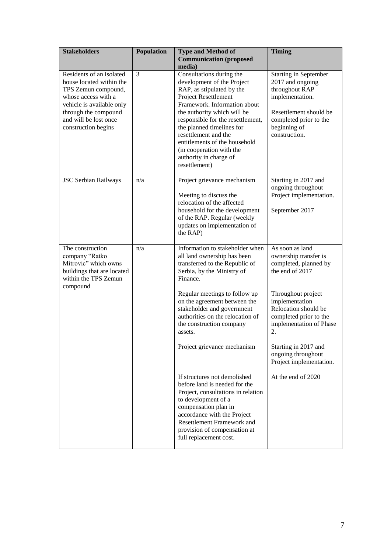| <b>Stakeholders</b>                                                                                                                                                                                     | Population | <b>Type and Method of</b><br><b>Communication</b> (proposed<br>media)                                                                                                                                                                                                                                                                                                        | <b>Timing</b>                                                                                                                                                              |
|---------------------------------------------------------------------------------------------------------------------------------------------------------------------------------------------------------|------------|------------------------------------------------------------------------------------------------------------------------------------------------------------------------------------------------------------------------------------------------------------------------------------------------------------------------------------------------------------------------------|----------------------------------------------------------------------------------------------------------------------------------------------------------------------------|
| Residents of an isolated<br>house located within the<br>TPS Zemun compound,<br>whose access with a<br>vehicle is available only<br>through the compound<br>and will be lost once<br>construction begins | 3          | Consultations during the<br>development of the Project<br>RAP, as stipulated by the<br>Project Resettlement<br>Framework. Information about<br>the authority which will be<br>responsible for the resettlement,<br>the planned timelines for<br>resettlement and the<br>entitlements of the household<br>(in cooperation with the<br>authority in charge of<br>resettlement) | <b>Starting in September</b><br>2017 and ongoing<br>throughout RAP<br>implementation.<br>Resettlement should be<br>completed prior to the<br>beginning of<br>construction. |
| <b>JSC Serbian Railways</b>                                                                                                                                                                             | n/a        | Project grievance mechanism<br>Meeting to discuss the<br>relocation of the affected<br>household for the development<br>of the RAP. Regular (weekly<br>updates on implementation of<br>the RAP)                                                                                                                                                                              | Starting in 2017 and<br>ongoing throughout<br>Project implementation.<br>September 2017                                                                                    |
| The construction<br>company "Ratko<br>Mitrovic" which owns<br>buildings that are located<br>within the TPS Zemun                                                                                        | n/a        | Information to stakeholder when<br>all land ownership has been<br>transferred to the Republic of<br>Serbia, by the Ministry of<br>Finance.                                                                                                                                                                                                                                   | As soon as land<br>ownership transfer is<br>completed, planned by<br>the end of 2017                                                                                       |
| compound                                                                                                                                                                                                |            | Regular meetings to follow up<br>on the agreement between the<br>stakeholder and government<br>authorities on the relocation of<br>the construction company<br>assets.                                                                                                                                                                                                       | Throughout project<br>implementation<br>Relocation should be<br>completed prior to the<br>implementation of Phase<br>2.                                                    |
|                                                                                                                                                                                                         |            | Project grievance mechanism                                                                                                                                                                                                                                                                                                                                                  | Starting in 2017 and<br>ongoing throughout<br>Project implementation.                                                                                                      |
|                                                                                                                                                                                                         |            | If structures not demolished<br>before land is needed for the<br>Project, consultations in relation<br>to development of a<br>compensation plan in<br>accordance with the Project<br>Resettlement Framework and<br>provision of compensation at<br>full replacement cost.                                                                                                    | At the end of 2020                                                                                                                                                         |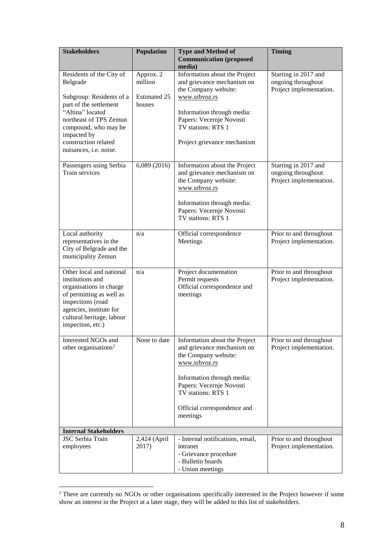| <b>Stakeholders</b>                                                                                                                                                                                                               | Population                                            | <b>Type and Method of</b><br><b>Communication</b> (proposed                                                                                                                                                                     | <b>Timing</b>                                                         |
|-----------------------------------------------------------------------------------------------------------------------------------------------------------------------------------------------------------------------------------|-------------------------------------------------------|---------------------------------------------------------------------------------------------------------------------------------------------------------------------------------------------------------------------------------|-----------------------------------------------------------------------|
| Residents of the City of<br>Belgrade<br>Subgroup: Residents of a<br>part of the settlement<br>"Altina" located<br>northeast of TPS Zemun<br>compound, who may be<br>impacted by<br>construction related<br>nuisances, i.e. noise. | Approx. 2<br>million<br><b>Estimated 25</b><br>houses | media)<br>Information about the Project<br>and grievance mechanism on<br>the Company website:<br>www.srbvoz.rs<br>Information through media:<br>Papers: Vecernje Novosti<br>TV stations: RTS 1<br>Project grievance mechanism   | Starting in 2017 and<br>ongoing throughout<br>Project implementation. |
| Passengers using Serbia<br>Train services                                                                                                                                                                                         | 6,089(2016)                                           | Information about the Project<br>and grievance mechanism on<br>the Company website:<br>www.srbvoz.rs<br>Information through media:<br>Papers: Vecernje Novosti<br>TV stations: RTS 1                                            | Starting in 2017 and<br>ongoing throughout<br>Project implementation. |
| Local authority<br>representatives in the<br>City of Belgrade and the<br>municipality Zemun                                                                                                                                       | n/a                                                   | Official correspondence<br>Meetings                                                                                                                                                                                             | Prior to and throughout<br>Project implementation.                    |
| Other local and national<br>institutions and<br>organisations in charge<br>of permitting as well as<br>inspections (road<br>agencies, institute for<br>cultural heritage, labour<br>inspection, etc.)                             | n/a                                                   | Project documentation<br>Permit requests<br>Official correspondence and<br>meetings                                                                                                                                             | Prior to and throughout<br>Project implementation.                    |
| Interested NGOs and<br>other organisations <sup>2</sup>                                                                                                                                                                           | None to date                                          | Information about the Project<br>and grievance mechanism on<br>the Company website:<br>www.srbvoz.rs<br>Information through media:<br>Papers: Vecernje Novosti<br>TV stations: RTS 1<br>Official correspondence and<br>meetings | Prior to and throughout<br>Project implementation.                    |
| <b>Internal Stakeholders</b>                                                                                                                                                                                                      |                                                       |                                                                                                                                                                                                                                 |                                                                       |
| <b>JSC</b> Serbia Train<br>employees                                                                                                                                                                                              | 2,424 (April<br>2017)                                 | - Internal notifications, email,<br>intranet<br>- Grievance procedure<br>- Bulletin boards<br>- Union meetings                                                                                                                  | Prior to and throughout<br>Project implementation.                    |

<sup>&</sup>lt;sup>2</sup> There are currently no NGOs or other organisations specifically interested in the Project however if some show an interest in the Project at a later stage, they will be added to this list of stakeholders.

<u>.</u>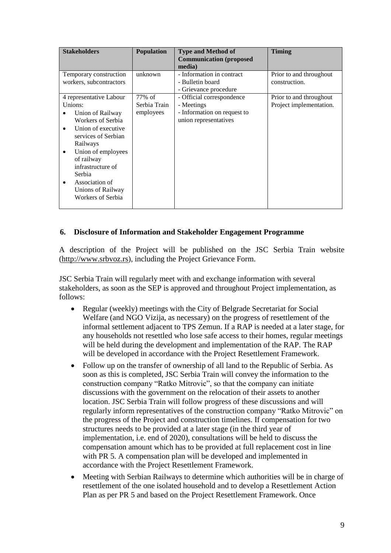| <b>Stakeholders</b>                                                                                                                                                                                                                                                      | <b>Population</b>                      | <b>Type and Method of</b><br><b>Communication</b> (proposed<br>media)                           | <b>Timing</b>                                      |
|--------------------------------------------------------------------------------------------------------------------------------------------------------------------------------------------------------------------------------------------------------------------------|----------------------------------------|-------------------------------------------------------------------------------------------------|----------------------------------------------------|
| Temporary construction<br>workers, subcontractors                                                                                                                                                                                                                        | unknown                                | - Information in contract<br>- Bulletin board<br>- Grievance procedure                          | Prior to and throughout<br>construction.           |
| 4 representative Labour<br>Unions:<br>Union of Railway<br>Workers of Serbia<br>Union of executive<br>services of Serbian<br>Railways<br>Union of employees<br>٠<br>of railway<br>infrastructure of<br>Serbia<br>Association of<br>Unions of Railway<br>Workers of Serbia | $77\%$ of<br>Serbia Train<br>employees | - Official correspondence<br>- Meetings<br>- Information on request to<br>union representatives | Prior to and throughout<br>Project implementation. |

## **6. Disclosure of Information and Stakeholder Engagement Programme**

A description of the Project will be published on the JSC Serbia Train website [\(http://www.srbvoz.rs\)](http://www.srbvoz.rs/), including the Project Grievance Form.

JSC Serbia Train will regularly meet with and exchange information with several stakeholders, as soon as the SEP is approved and throughout Project implementation, as follows:

- Regular (weekly) meetings with the City of Belgrade Secretariat for Social Welfare (and NGO Vizija, as necessary) on the progress of resettlement of the informal settlement adjacent to TPS Zemun. If a RAP is needed at a later stage, for any households not resettled who lose safe access to their homes, regular meetings will be held during the development and implementation of the RAP. The RAP will be developed in accordance with the Project Resettlement Framework.
- Follow up on the transfer of ownership of all land to the Republic of Serbia. As soon as this is completed, JSC Serbia Train will convey the information to the construction company "Ratko Mitrovic", so that the company can initiate discussions with the government on the relocation of their assets to another location. JSC Serbia Train will follow progress of these discussions and will regularly inform representatives of the construction company "Ratko Mitrovic" on the progress of the Project and construction timelines. If compensation for two structures needs to be provided at a later stage (in the third year of implementation, i.e. end of 2020), consultations will be held to discuss the compensation amount which has to be provided at full replacement cost in line with PR 5. A compensation plan will be developed and implemented in accordance with the Project Resettlement Framework.
- Meeting with Serbian Railways to determine which authorities will be in charge of resettlement of the one isolated household and to develop a Resettlement Action Plan as per PR 5 and based on the Project Resettlement Framework. Once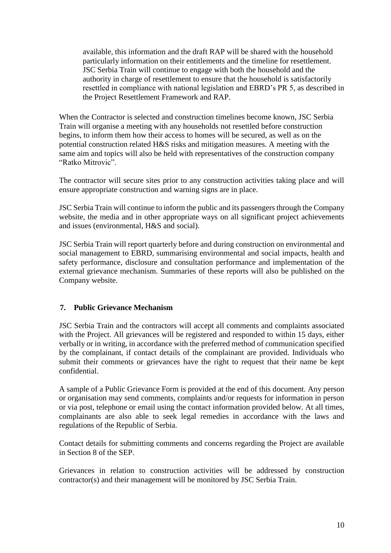available, this information and the draft RAP will be shared with the household particularly information on their entitlements and the timeline for resettlement. JSC Serbia Train will continue to engage with both the household and the authority in charge of resettlement to ensure that the household is satisfactorily resettled in compliance with national legislation and EBRD's PR 5, as described in the Project Resettlement Framework and RAP.

When the Contractor is selected and construction timelines become known, JSC Serbia Train will organise a meeting with any households not resettled before construction begins, to inform them how their access to homes will be secured, as well as on the potential construction related H&S risks and mitigation measures. A meeting with the same aim and topics will also be held with representatives of the construction company "Ratko Mitrovic".

The contractor will secure sites prior to any construction activities taking place and will ensure appropriate construction and warning signs are in place.

JSC Serbia Train will continue to inform the public and its passengers through the Company website, the media and in other appropriate ways on all significant project achievements and issues (environmental, H&S and social).

JSC Serbia Train will report quarterly before and during construction on environmental and social management to EBRD, summarising environmental and social impacts, health and safety performance, disclosure and consultation performance and implementation of the external grievance mechanism. Summaries of these reports will also be published on the Company website.

## **7. Public Grievance Mechanism**

JSC Serbia Train and the contractors will accept all comments and complaints associated with the Project. All grievances will be registered and responded to within 15 days, either verbally or in writing, in accordance with the preferred method of communication specified by the complainant, if contact details of the complainant are provided. Individuals who submit their comments or grievances have the right to request that their name be kept confidential.

A sample of a Public Grievance Form is provided at the end of this document. Any person or organisation may send comments, complaints and/or requests for information in person or via post, telephone or email using the contact information provided below. At all times, complainants are also able to seek legal remedies in accordance with the laws and regulations of the Republic of Serbia.

Contact details for submitting comments and concerns regarding the Project are available in Section 8 of the SEP.

Grievances in relation to construction activities will be addressed by construction contractor(s) and their management will be monitored by JSC Serbia Train.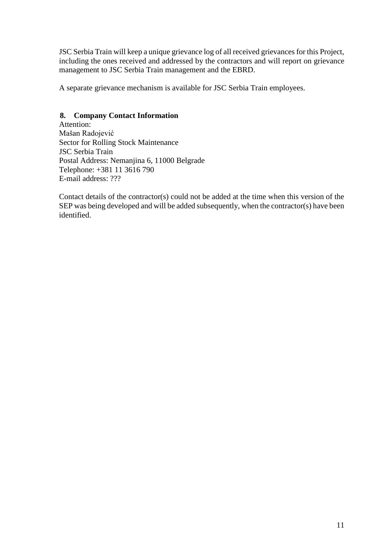JSC Serbia Train will keep a unique grievance log of all received grievances for this Project, including the ones received and addressed by the contractors and will report on grievance management to JSC Serbia Train management and the EBRD.

A separate grievance mechanism is available for JSC Serbia Train employees.

#### **8. Company Contact Information**

Attention: Mašan Radojević Sector for Rolling Stock Maintenance JSC Serbia Train Postal Address: Nemanjina 6, 11000 Belgrade Telephone: [+381 11 3616 790](tel:+381%2011%203616%20790) E-mail address: ???

Contact details of the contractor(s) could not be added at the time when this version of the SEP was being developed and will be added subsequently, when the contractor(s) have been identified.